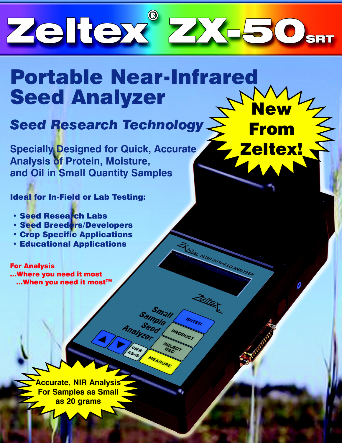

## Portable Near-Infrared Seed Analyzer **New**

Analyzel

MEASURE

**From** 

50set NEAR INFRARE

Zelter

ENTER

PRODUCT

Zeltex!

# Seed Research Technology

**Specially Designed for Quick, Accurate** Analysis of Protein, Moisture, and Oil in Small Quantity Samples

Ideal for In-Field or Lab Testing:

- **· Seed Research Labs**
- **· Seed Breeders/Developers**
- **Crop Specific Applications**
- **Educational Applications**

For Analysis ...Where you need it most ...When you need it most™

> Accurate, NIR Analysis For Samples as Small as 20 grams